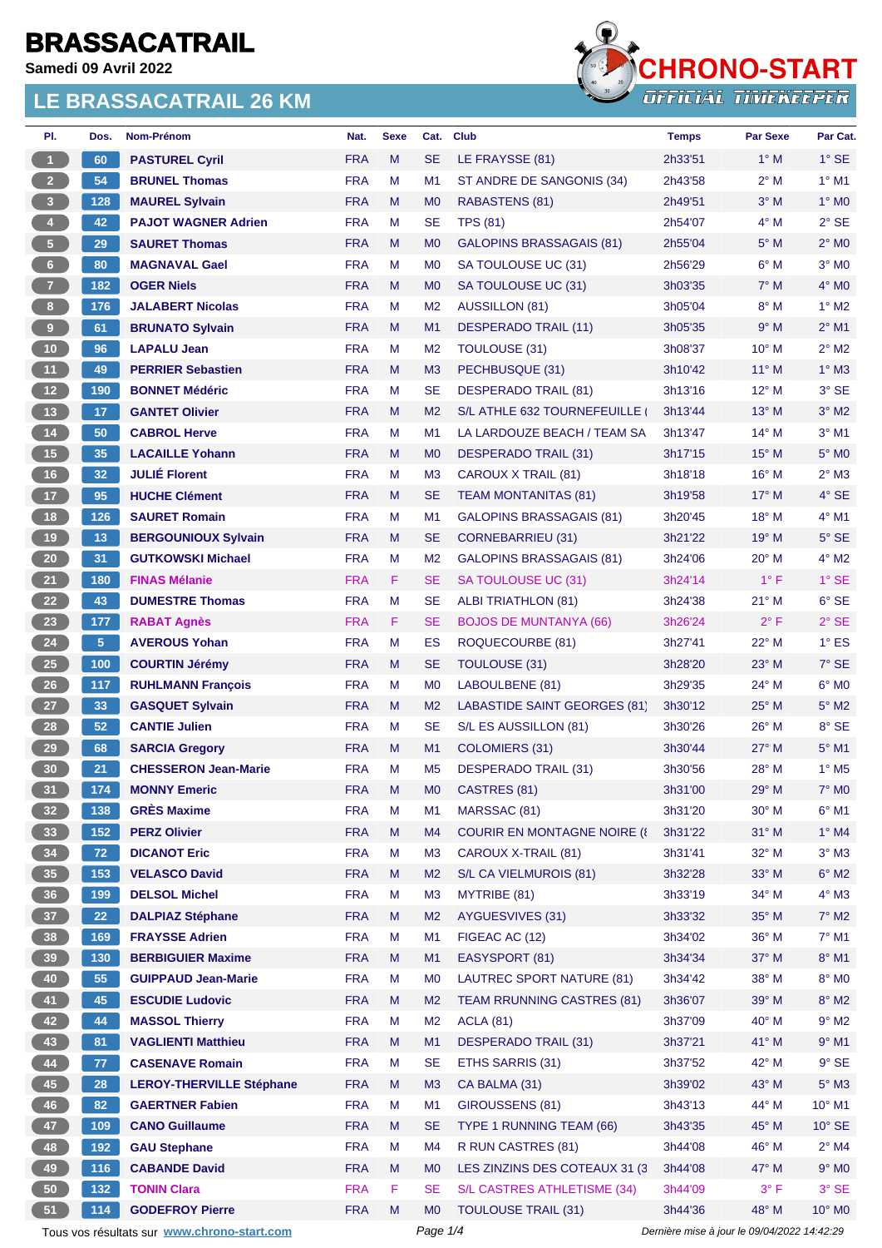**Samedi 09 Avril 2022**



| PI.                     | Dos.           | Nom-Prénom                                  | Nat.       | <b>Sexe</b> | Cat.           | <b>Club</b>                         | <b>Temps</b>                                | <b>Par Sexe</b> | Par Cat.                 |
|-------------------------|----------------|---------------------------------------------|------------|-------------|----------------|-------------------------------------|---------------------------------------------|-----------------|--------------------------|
| 1                       | 60             | <b>PASTUREL Cyril</b>                       | <b>FRA</b> | M           | <b>SE</b>      | LE FRAYSSE (81)                     | 2h33'51                                     | $1^\circ$ M     | $1^\circ$ SE             |
| $\overline{2}$          | 54             | <b>BRUNEL Thomas</b>                        | <b>FRA</b> | м           | M <sub>1</sub> | ST ANDRE DE SANGONIS (34)           | 2h43'58                                     | $2^{\circ}$ M   | $1^\circ$ M1             |
| $\overline{\mathbf{3}}$ | 128            | <b>MAUREL Sylvain</b>                       | <b>FRA</b> | M           | M <sub>0</sub> | RABASTENS (81)                      | 2h49'51                                     | $3^\circ$ M     | $1^\circ$ MO             |
| $\overline{4}$          | 42             | <b>PAJOT WAGNER Adrien</b>                  | <b>FRA</b> | M           | <b>SE</b>      | <b>TPS (81)</b>                     | 2h54'07                                     | $4^\circ$ M     | $2°$ SE                  |
| $5\phantom{.0}$         | 29             | <b>SAURET Thomas</b>                        | <b>FRA</b> | M           | M <sub>0</sub> | <b>GALOPINS BRASSAGAIS (81)</b>     | 2h55'04                                     | $5^\circ$ M     | $2°$ M <sub>0</sub>      |
| $6\phantom{.}6$         | 80             | <b>MAGNAVAL Gael</b>                        | <b>FRA</b> | M           | M <sub>0</sub> | SA TOULOUSE UC (31)                 | 2h56'29                                     | $6^\circ$ M     | $3°$ MO                  |
| $\overline{7}$          | 182            | <b>OGER Niels</b>                           | <b>FRA</b> | M           | M <sub>0</sub> | SA TOULOUSE UC (31)                 | 3h03'35                                     | $7^\circ$ M     | $4^\circ$ MO             |
| 8                       | 176            | <b>JALABERT Nicolas</b>                     | <b>FRA</b> | M           | M <sub>2</sub> | <b>AUSSILLON (81)</b>               | 3h05'04                                     | $8^\circ$ M     | $1^\circ$ M2             |
| 9                       | 61             | <b>BRUNATO Sylvain</b>                      | <b>FRA</b> | M           | M1             | <b>DESPERADO TRAIL (11)</b>         | 3h05'35                                     | 9° M            | $2^{\circ}$ M1           |
| 10                      | 96             | <b>LAPALU Jean</b>                          | <b>FRA</b> | М           | M <sub>2</sub> | <b>TOULOUSE (31)</b>                | 3h08'37                                     | 10° M           | $2^{\circ}$ M2           |
| 11                      | 49             | <b>PERRIER Sebastien</b>                    | <b>FRA</b> | M           | M <sub>3</sub> | PECHBUSQUE (31)                     | 3h10'42                                     | 11° M           | $1^\circ$ M3             |
| 12                      | 190            | <b>BONNET Médéric</b>                       | <b>FRA</b> | M           | <b>SE</b>      | <b>DESPERADO TRAIL (81)</b>         | 3h13'16                                     | 12° M           | 3° SE                    |
| 13                      | 17             | <b>GANTET Olivier</b>                       | <b>FRA</b> | M           | M <sub>2</sub> | S/L ATHLE 632 TOURNEFEUILLE         | 3h13'44                                     | 13° M           | $3°$ M2                  |
| $14$                    | 50             | <b>CABROL Herve</b>                         | <b>FRA</b> | м           | M <sub>1</sub> | LA LARDOUZE BEACH / TEAM SA         | 3h13'47                                     | $14^{\circ}$ M  | $3°$ M1                  |
| $15$                    | 35             | <b>LACAILLE Yohann</b>                      | <b>FRA</b> | M           | M <sub>0</sub> | DESPERADO TRAIL (31)                | 3h17'15                                     | $15^{\circ}$ M  | 5° M <sub>0</sub>        |
| 16                      | 32             | <b>JULIÉ Florent</b>                        | <b>FRA</b> | M           | M <sub>3</sub> | CAROUX X TRAIL (81)                 | 3h18'18                                     | $16^{\circ}$ M  | $2^{\circ}$ M3           |
| 17                      | 95             | <b>HUCHE Clément</b>                        | <b>FRA</b> | M           | <b>SE</b>      | <b>TEAM MONTANITAS (81)</b>         | 3h19'58                                     | 17° M           | 4° SE                    |
| 18                      | 126            | <b>SAURET Romain</b>                        | <b>FRA</b> | M           | M1             | <b>GALOPINS BRASSAGAIS (81)</b>     | 3h20'45                                     | 18° M           | $4^\circ$ M1             |
| 19                      | 13             | <b>BERGOUNIOUX Sylvain</b>                  | <b>FRA</b> | M           | <b>SE</b>      | <b>CORNEBARRIEU (31)</b>            | 3h21'22                                     | 19° M           | $5^\circ$ SE             |
| 20                      | 31             | <b>GUTKOWSKI Michael</b>                    | <b>FRA</b> | М           | M <sub>2</sub> | <b>GALOPINS BRASSAGAIS (81)</b>     | 3h24'06                                     | 20° M           | $4^\circ$ M2             |
| 21                      | 180            | <b>FINAS Mélanie</b>                        | <b>FRA</b> | F           | SE             | SA TOULOUSE UC (31)                 | 3h24'14                                     | $1^{\circ}$ F   | $1^\circ$ SE             |
| 22                      | 43             | <b>DUMESTRE Thomas</b>                      | <b>FRA</b> | M           | <b>SE</b>      | <b>ALBI TRIATHLON (81)</b>          | 3h24'38                                     | $21^{\circ}$ M  | 6° SE                    |
| 23                      | 177            | <b>RABAT Agnès</b>                          | <b>FRA</b> | F           | <b>SE</b>      | <b>BOJOS DE MUNTANYA (66)</b>       | 3h26'24                                     | $2^{\circ}$ F   | $2°$ SE                  |
| 24                      | 5 <sup>5</sup> | <b>AVEROUS Yohan</b>                        | <b>FRA</b> | M           | ES             | ROQUECOURBE (81)                    | 3h27'41                                     | 22° M           | $1^\circ$ ES             |
| 25                      | 100            | <b>COURTIN Jérémy</b>                       | <b>FRA</b> | M           | SE             | TOULOUSE (31)                       | 3h28'20                                     | $23^\circ$ M    | $7^\circ$ SE             |
| 26                      | 117            | <b>RUHLMANN François</b>                    | <b>FRA</b> | M           | M <sub>0</sub> | LABOULBENE (81)                     | 3h29'35                                     | 24° M           | $6^\circ$ MO             |
| 27                      | 33             | <b>GASQUET Sylvain</b>                      | <b>FRA</b> | M           | M <sub>2</sub> | LABASTIDE SAINT GEORGES (81)        | 3h30'12                                     | $25^{\circ}$ M  | $5^\circ$ M2             |
| 28                      | 52             | <b>CANTIE Julien</b>                        | <b>FRA</b> | M           | <b>SE</b>      | S/L ES AUSSILLON (81)               | 3h30'26                                     | $26^{\circ}$ M  | 8° SE                    |
| 29                      | 68             | <b>SARCIA Gregory</b>                       | <b>FRA</b> | M           | M1             | <b>COLOMIERS (31)</b>               | 3h30'44                                     | $27^\circ$ M    | 5° M1                    |
| 30 <sub>2</sub>         | 21             | <b>CHESSERON Jean-Marie</b>                 | <b>FRA</b> | M           | M <sub>5</sub> | <b>DESPERADO TRAIL (31)</b>         | 3h30'56                                     | 28° M           | $1^\circ$ M <sub>5</sub> |
| 31                      | 174            | <b>MONNY Emeric</b>                         | <b>FRA</b> | M           | M <sub>0</sub> | CASTRES (81)                        | 3h31'00                                     | 29° M           | $7^\circ$ MO             |
| 32 <sub>2</sub>         | 138            | <b>GRÈS Maxime</b>                          | <b>FRA</b> | M           | M1             | MARSSAC (81)                        | 3h31'20                                     | 30° M           | $6^{\circ}$ M1           |
| 33                      | 152            | <b>PERZ Olivier</b>                         | <b>FRA</b> | M           | M4             | <b>COURIR EN MONTAGNE NOIRE (8)</b> | 3h31'22                                     | $31^\circ$ M    | $1^\circ$ M4             |
| 34                      | 72             | <b>DICANOT Eric</b>                         | <b>FRA</b> | М           | M <sub>3</sub> | CAROUX X-TRAIL (81)                 | 3h31'41                                     | $32^\circ$ M    | $3^\circ$ M3             |
| 35                      | 153            | <b>VELASCO David</b>                        | <b>FRA</b> | M           | M <sub>2</sub> | S/L CA VIELMUROIS (81)              | 3h32'28                                     | 33° M           | $6^\circ$ M2             |
| 36                      | 199            | <b>DELSOL Michel</b>                        | <b>FRA</b> | M           | M <sub>3</sub> | MYTRIBE (81)                        | 3h33'19                                     | $34^\circ$ M    | $4^\circ$ M3             |
| 37 <sup>°</sup>         | 22             | <b>DALPIAZ Stéphane</b>                     | <b>FRA</b> | M           | M <sub>2</sub> | <b>AYGUESVIVES (31)</b>             | 3h33'32                                     | 35° M           | $7^\circ$ M2             |
| 38                      | 169            | <b>FRAYSSE Adrien</b>                       | <b>FRA</b> | М           | M1             | FIGEAC AC (12)                      | 3h34'02                                     | 36° M           | $7°$ M1                  |
| 39                      | 130            | <b>BERBIGUIER Maxime</b>                    | <b>FRA</b> | M           | M1             | EASYSPORT (81)                      | 3h34'34                                     | 37° M           | 8° M1                    |
| 40                      | 55             | <b>GUIPPAUD Jean-Marie</b>                  | <b>FRA</b> | M           | M <sub>0</sub> | LAUTREC SPORT NATURE (81)           | 3h34'42                                     | $38^\circ$ M    | 8° MO                    |
| 41                      | 45             | <b>ESCUDIE Ludovic</b>                      | <b>FRA</b> | M           | M <sub>2</sub> | <b>TEAM RRUNNING CASTRES (81)</b>   | 3h36'07                                     | 39° M           | $8^\circ$ M2             |
| 42                      | 44             | <b>MASSOL Thierry</b>                       | <b>FRA</b> | M           | M <sub>2</sub> | <b>ACLA (81)</b>                    | 3h37'09                                     | $40^{\circ}$ M  | $9°$ M2                  |
| 43                      | 81             | <b>VAGLIENTI Matthieu</b>                   | <b>FRA</b> | M           | M1             | <b>DESPERADO TRAIL (31)</b>         | 3h37'21                                     | 41° M           | $9°$ M1                  |
| 44                      | 77             | <b>CASENAVE Romain</b>                      | <b>FRA</b> | M           | <b>SE</b>      | ETHS SARRIS (31)                    | 3h37'52                                     | 42° M           | $9°$ SE                  |
| 45                      | 28             | <b>LEROY-THERVILLE Stéphane</b>             | <b>FRA</b> | M           | M <sub>3</sub> | CA BALMA (31)                       | 3h39'02                                     | 43° M           | $5^\circ$ M3             |
| 46                      | 82             | <b>GAERTNER Fabien</b>                      | <b>FRA</b> | M           | M1             | GIROUSSENS (81)                     | 3h43'13                                     | 44° M           | $10^{\circ}$ M1          |
| 47                      | 109            | <b>CANO Guillaume</b>                       | <b>FRA</b> | M           | <b>SE</b>      | TYPE 1 RUNNING TEAM (66)            | 3h43'35                                     | 45° M           | $10^{\circ}$ SE          |
| 48                      | 192            | <b>GAU Stephane</b>                         | <b>FRA</b> | М           | M4             | R RUN CASTRES (81)                  | 3h44'08                                     | 46° M           | $2^\circ$ M4             |
| 49                      | 116            | <b>CABANDE David</b>                        | <b>FRA</b> | M           | M <sub>0</sub> | LES ZINZINS DES COTEAUX 31 (3)      | 3h44'08                                     | 47° M           | $9°$ MO                  |
| 50                      | 132            | <b>TONIN Clara</b>                          | <b>FRA</b> | F           | <b>SE</b>      | S/L CASTRES ATHLETISME (34)         | 3h44'09                                     | $3^{\circ}$ F   | $3°$ SE                  |
| 51                      | 114            | <b>GODEFROY Pierre</b>                      | <b>FRA</b> | M           | M <sub>0</sub> | <b>TOULOUSE TRAIL (31)</b>          | 3h44'36                                     | 48° M           | $10^{\circ}$ MO          |
|                         |                | Tous vos résultats sur www.chrono-start.com |            |             | Page 1/4       |                                     | Dernière mise à jour le 09/04/2022 14:42:29 |                 |                          |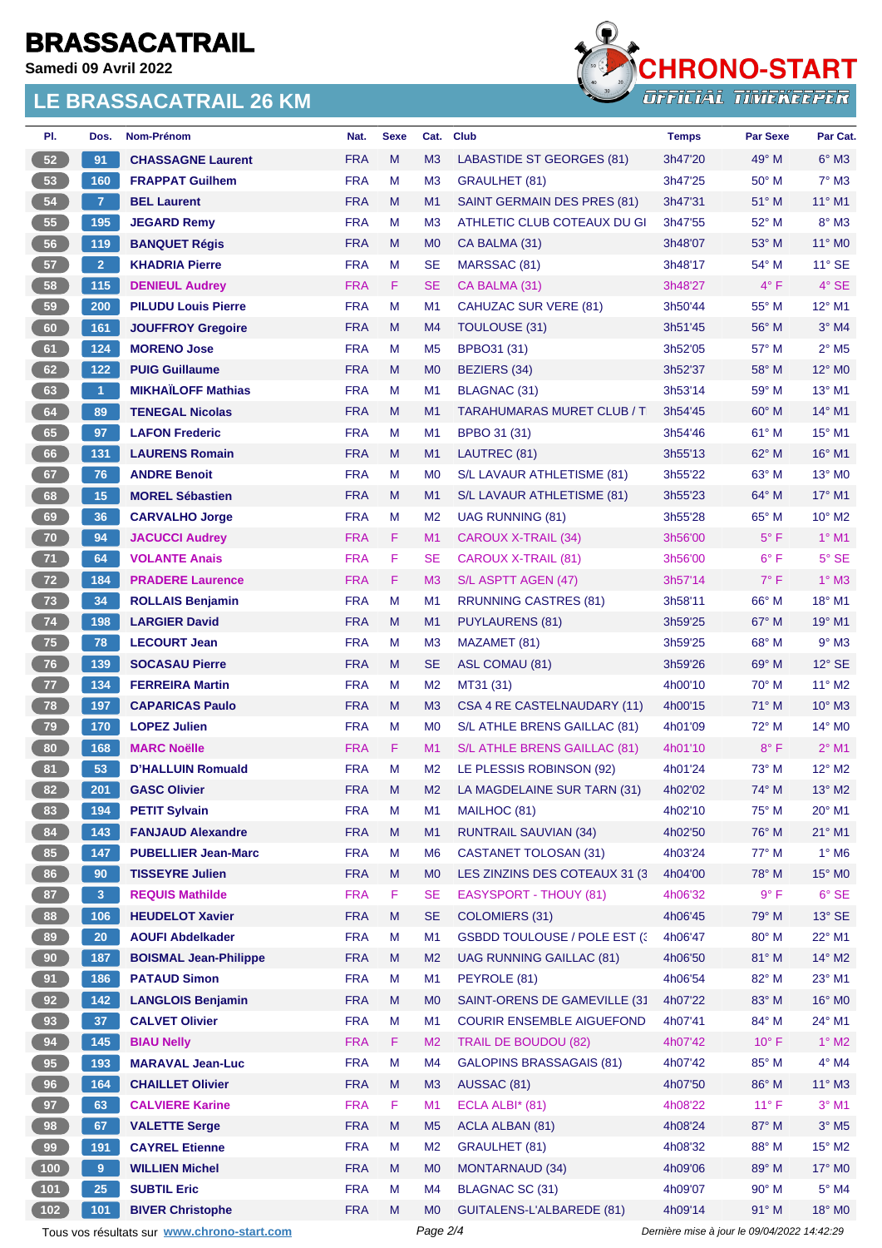**Samedi 09 Avril 2022**



| PI.                   | Dos.            | Nom-Prénom                                  | Nat.       | <b>Sexe</b> | Cat.           | <b>Club</b>                          | <b>Temps</b>                                | <b>Par Sexe</b> | Par Cat.                    |  |
|-----------------------|-----------------|---------------------------------------------|------------|-------------|----------------|--------------------------------------|---------------------------------------------|-----------------|-----------------------------|--|
| 52                    | 91              | <b>CHASSAGNE Laurent</b>                    | <b>FRA</b> | M           | M <sub>3</sub> | <b>LABASTIDE ST GEORGES (81)</b>     | 3h47'20                                     | 49° M           | $6^\circ$ M3                |  |
| 53                    | 160             | <b>FRAPPAT Guilhem</b>                      | <b>FRA</b> | М           | M <sub>3</sub> | GRAULHET (81)                        | 3h47'25                                     | $50^\circ$ M    | $7^\circ$ M3                |  |
| 54                    | $\overline{7}$  | <b>BEL Laurent</b>                          | <b>FRA</b> | M           | M1             | SAINT GERMAIN DES PRES (81)          | 3h47'31                                     | $51^\circ$ M    | 11° M1                      |  |
| 55                    | 195             | <b>JEGARD Remy</b>                          | <b>FRA</b> | м           | M <sub>3</sub> | ATHLETIC CLUB COTEAUX DU GI          | 3h47'55                                     | 52° M           | $8^\circ$ M3                |  |
| 56                    | 119             | <b>BANQUET Régis</b>                        | <b>FRA</b> | M           | M <sub>0</sub> | CA BALMA (31)                        | 3h48'07                                     | $53^\circ$ M    | $11^{\circ}$ MO             |  |
| 57                    | 2 <sup>1</sup>  | <b>KHADRIA Pierre</b>                       | <b>FRA</b> | M           | <b>SE</b>      | MARSSAC (81)                         | 3h48'17                                     | 54° M           | $11^{\circ}$ SE             |  |
| 58                    | 115             | <b>DENIEUL Audrey</b>                       | <b>FRA</b> | F.          | <b>SE</b>      | CA BALMA (31)                        | 3h48'27                                     | $4^{\circ}$ F   | $4^\circ$ SE                |  |
| 59                    | 200             | <b>PILUDU Louis Pierre</b>                  | <b>FRA</b> | М           | M <sub>1</sub> | <b>CAHUZAC SUR VERE (81)</b>         | 3h50'44                                     | 55° M           | 12° M1                      |  |
| 60                    | 161             | <b>JOUFFROY Gregoire</b>                    | <b>FRA</b> | M           | M4             | TOULOUSE (31)                        | 3h51'45                                     | $56^{\circ}$ M  | $3°$ M4                     |  |
| 61                    | 124             | <b>MORENO Jose</b>                          | <b>FRA</b> | м           | M <sub>5</sub> | BPBO31 (31)                          | 3h52'05                                     | $57^\circ$ M    | $2^{\circ}$ M <sub>5</sub>  |  |
| 62                    | 122             | <b>PUIG Guillaume</b>                       | <b>FRA</b> | M           | M <sub>0</sub> | <b>BEZIERS (34)</b>                  | 3h52'37                                     | 58° M           | $12^{\circ}$ MO             |  |
| 63                    | $\mathbf{1}$    | <b>MIKHAÏLOFF Mathias</b>                   | <b>FRA</b> | М           | M <sub>1</sub> | <b>BLAGNAC (31)</b>                  | 3h53'14                                     | 59° M           | 13° M1                      |  |
| 64                    | 89              | <b>TENEGAL Nicolas</b>                      | <b>FRA</b> | M           | M1             | <b>TARAHUMARAS MURET CLUB / T</b>    | 3h54'45                                     | $60^\circ$ M    | $14^{\circ}$ M1             |  |
| 65                    | 97              | <b>LAFON Frederic</b>                       | <b>FRA</b> | м           | M <sub>1</sub> | BPBO 31 (31)                         | 3h54'46                                     | $61^\circ$ M    | 15° M1                      |  |
| 66                    | 131             | <b>LAURENS Romain</b>                       | <b>FRA</b> | M           | M1             | LAUTREC (81)                         | 3h55'13                                     | 62° M           | 16° M1                      |  |
| 67                    | 76              | <b>ANDRE Benoit</b>                         | <b>FRA</b> | м           | M <sub>0</sub> | S/L LAVAUR ATHLETISME (81)           | 3h55'22                                     | $63^\circ$ M    | $13^\circ$ MO               |  |
| 68                    | 15              | <b>MOREL Sébastien</b>                      | <b>FRA</b> | M           | M1             | S/L LAVAUR ATHLETISME (81)           | 3h55'23                                     | $64^{\circ}$ M  | 17° M1                      |  |
| 69                    | 36              | <b>CARVALHO Jorge</b>                       | <b>FRA</b> | М           | M <sub>2</sub> | <b>UAG RUNNING (81)</b>              | 3h55'28                                     | $65^{\circ}$ M  | $10^{\circ}$ M <sub>2</sub> |  |
| 70                    | 94              | <b>JACUCCI Audrey</b>                       | <b>FRA</b> | F.          | M1             | CAROUX X-TRAIL (34)                  | 3h56'00                                     | $5^{\circ}$ F   | $1°$ M1                     |  |
| 71                    | 64              | <b>VOLANTE Anais</b>                        | <b>FRA</b> | F.          | SE             | CAROUX X-TRAIL (81)                  | 3h56'00                                     | $6^{\circ}$ F   | $5^\circ$ SE                |  |
| 72                    | 184             | <b>PRADERE Laurence</b>                     | <b>FRA</b> | F.          | M <sub>3</sub> | S/L ASPTT AGEN (47)                  | 3h57'14                                     | $7^\circ$ F     | $1^\circ$ M3                |  |
| 73                    | 34              | <b>ROLLAIS Benjamin</b>                     | <b>FRA</b> | М           | M1             | RRUNNING CASTRES (81)                | 3h58'11                                     | 66° M           | 18° M1                      |  |
| 74                    | 198             | <b>LARGIER David</b>                        | <b>FRA</b> | M           | M1             | <b>PUYLAURENS (81)</b>               | 3h59'25                                     | $67^\circ$ M    | 19° M1                      |  |
| 75                    | 78              | <b>LECOURT Jean</b>                         | <b>FRA</b> | М           | M <sub>3</sub> | MAZAMET (81)                         | 3h59'25                                     | 68° M           | $9^\circ$ M3                |  |
| 76                    | 139             | <b>SOCASAU Pierre</b>                       | <b>FRA</b> | M           | <b>SE</b>      | ASL COMAU (81)                       | 3h59'26                                     | $69^\circ$ M    | $12^{\circ}$ SE             |  |
| 77                    | 134             | <b>FERREIRA Martin</b>                      | <b>FRA</b> | М           | M <sub>2</sub> | MT31 (31)                            | 4h00'10                                     | $70^\circ$ M    | 11° M2                      |  |
| 78                    | 197             | <b>CAPARICAS Paulo</b>                      | <b>FRA</b> | M           | M <sub>3</sub> | CSA 4 RE CASTELNAUDARY (11)          | 4h00'15                                     | $71^\circ$ M    | $10^{\circ}$ M3             |  |
| 79                    | 170             | <b>LOPEZ Julien</b>                         | <b>FRA</b> | М           | M <sub>0</sub> | S/L ATHLE BRENS GAILLAC (81)         | 4h01'09                                     | 72° M           | 14° MO                      |  |
| 80                    | 168             | <b>MARC Noëlle</b>                          | <b>FRA</b> | F.          | M1             | S/L ATHLE BRENS GAILLAC (81)         | 4h01'10                                     | $8^{\circ}$ F   | $2^{\circ}$ M1              |  |
| 81                    | 53              | <b>D'HALLUIN Romuald</b>                    | <b>FRA</b> | M           | M <sub>2</sub> | LE PLESSIS ROBINSON (92)             | 4h01'24                                     | $73^\circ$ M    | $12^{\circ}$ M2             |  |
| 82                    | 201             | <b>GASC Olivier</b>                         | <b>FRA</b> | м           | M2             | LA MAGDELAINE SUR TARN (31)          | 4h02'02                                     | 74° M           | $13^\circ$ M2               |  |
| 83                    | 194             | <b>PETIT Sylvain</b>                        | <b>FRA</b> | М           | M1             | MAILHOC (81)                         | 4h02'10                                     | 75° M           | $20^\circ$ M1               |  |
| 84                    | 143             | <b>FANJAUD Alexandre</b>                    | <b>FRA</b> | M           | M1             | <b>RUNTRAIL SAUVIAN (34)</b>         | 4h02'50                                     | 76° M           | $21^{\circ}$ M1             |  |
| 85                    | 147             | <b>PUBELLIER Jean-Marc</b>                  | <b>FRA</b> | М           | M <sub>6</sub> | <b>CASTANET TOLOSAN (31)</b>         | 4h03'24                                     | 77° M           | $1^\circ$ M6                |  |
| 86                    | 90              | <b>TISSEYRE Julien</b>                      | <b>FRA</b> | M           | M <sub>0</sub> | LES ZINZINS DES COTEAUX 31 (3)       | 4h04'00                                     | 78° M           | 15° MO                      |  |
| 87                    | 3 <sup>2</sup>  | <b>REQUIS Mathilde</b>                      | <b>FRA</b> | F.          | <b>SE</b>      | <b>EASYSPORT - THOUY (81)</b>        | 4h06'32                                     | 9° F            | $6°$ SE                     |  |
| 88                    | 106             | <b>HEUDELOT Xavier</b>                      | <b>FRA</b> | M           | <b>SE</b>      | <b>COLOMIERS (31)</b>                | 4h06'45                                     | 79° M           | $13^\circ$ SE               |  |
| 89                    | 20 <sub>2</sub> | <b>AOUFI Abdelkader</b>                     | <b>FRA</b> | M           | M1             | <b>GSBDD TOULOUSE / POLE EST (3)</b> | 4h06'47                                     | 80° M           | 22° M1                      |  |
| 90 <sub>o</sub>       | 187             | <b>BOISMAL Jean-Philippe</b>                | <b>FRA</b> | M           | M <sub>2</sub> | <b>UAG RUNNING GAILLAC (81)</b>      | 4h06'50                                     | 81° M           | 14° M2                      |  |
| 91                    | 186             | <b>PATAUD Simon</b>                         | <b>FRA</b> | М           | M1             | PEYROLE (81)                         | 4h06'54                                     | 82° M           | 23° M1                      |  |
| 92                    | 142             | <b>LANGLOIS Benjamin</b>                    | <b>FRA</b> | M           | M <sub>0</sub> | SAINT-ORENS DE GAMEVILLE (31         | 4h07'22                                     | 83° M           | 16° MO                      |  |
| 93                    | 37 <sup>°</sup> | <b>CALVET Olivier</b>                       | <b>FRA</b> | M           | M1             | <b>COURIR ENSEMBLE AIGUEFOND</b>     | 4h07'41                                     | 84° M           | 24° M1                      |  |
| 94                    |                 | <b>BIAU Nelly</b>                           | <b>FRA</b> |             | M <sub>2</sub> | <b>TRAIL DE BOUDOU (82)</b>          |                                             | $10^{\circ}$ F  | $1^\circ$ M2                |  |
|                       | 145             |                                             |            | F.          |                |                                      | 4h07'42                                     |                 |                             |  |
| 95 <sub>o</sub><br>96 | 193             | <b>MARAVAL Jean-Luc</b>                     | <b>FRA</b> | М           | M4             | <b>GALOPINS BRASSAGAIS (81)</b>      | 4h07'42                                     | 85° M           | $4^\circ$ M4                |  |
|                       | 164             | <b>CHAILLET Olivier</b>                     | <b>FRA</b> | M           | M3             | AUSSAC (81)                          | 4h07'50                                     | 86° M           | 11° M3                      |  |
| 97                    | 63              | <b>CALVIERE Karine</b>                      | <b>FRA</b> | F.          | M1             | ECLA ALBI* (81)                      | 4h08'22                                     | $11^{\circ}$ F  | $3°$ M1                     |  |
| 98                    | 67              | <b>VALETTE Serge</b>                        | <b>FRA</b> | M           | M <sub>5</sub> | <b>ACLA ALBAN (81)</b>               | 4h08'24                                     | 87° M           | $3^\circ$ M5                |  |
| 99                    | 191             | <b>CAYREL Etienne</b>                       | <b>FRA</b> | M           | M <sub>2</sub> | <b>GRAULHET (81)</b>                 | 4h08'32                                     | 88° M           | 15° M2                      |  |
| 100                   | 9               | <b>WILLIEN Michel</b>                       | <b>FRA</b> | M           | M <sub>0</sub> | <b>MONTARNAUD (34)</b>               | 4h09'06                                     | 89° M           | 17° MO                      |  |
| 101                   | 25              | <b>SUBTIL Eric</b>                          | <b>FRA</b> | М           | M4             | <b>BLAGNAC SC (31)</b>               | 4h09'07                                     | 90° M           | $5^\circ$ M4                |  |
| $102$                 | 101             | <b>BIVER Christophe</b>                     | <b>FRA</b> | M           | M <sub>0</sub> | GUITALENS-L'ALBAREDE (81)            | 4h09'14                                     | $91^\circ$ M    | 18° MO                      |  |
|                       |                 | Tous vos résultats sur www.chrono-start.com |            |             | Page 2/4       |                                      | Dernière mise à jour le 09/04/2022 14:42:29 |                 |                             |  |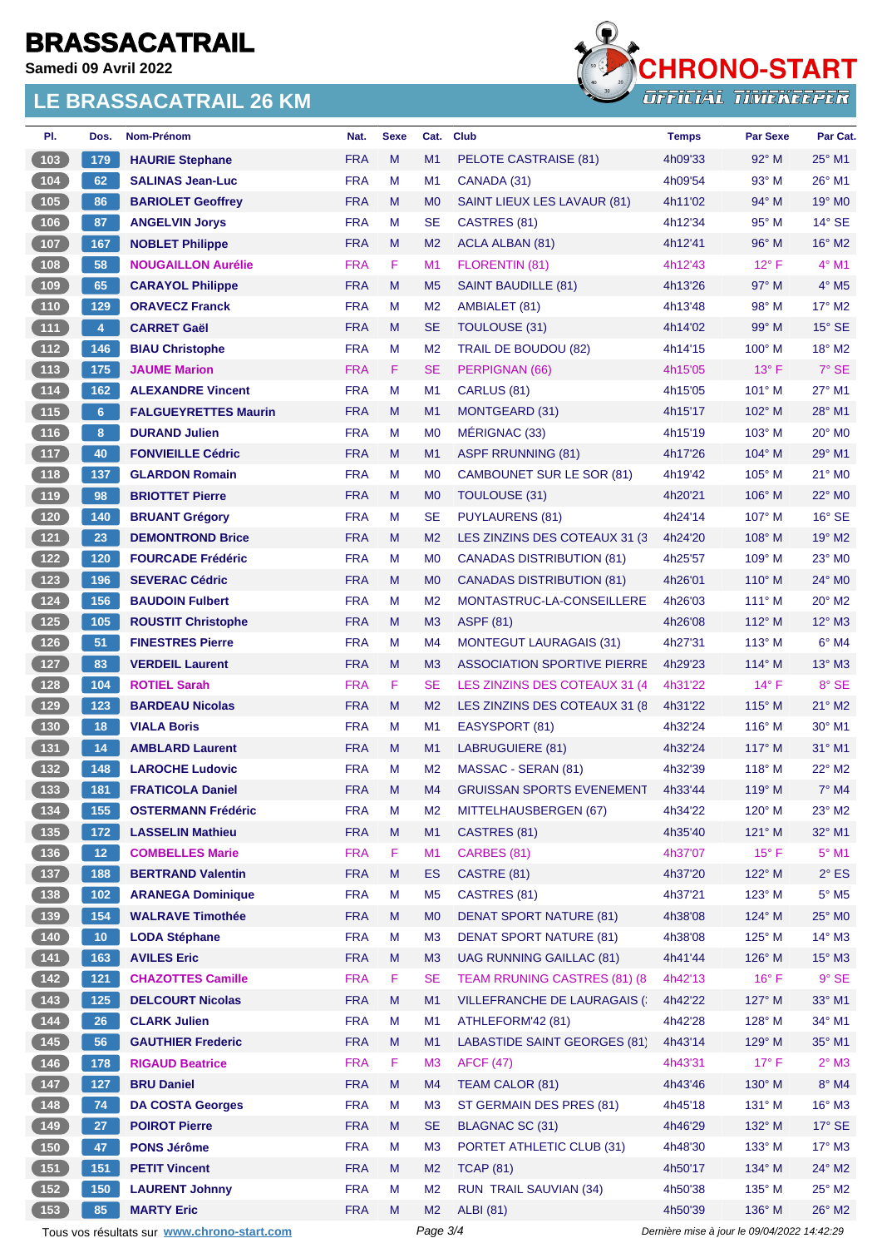**Samedi 09 Avril 2022**



| PI.                                           | Dos.             | Nom-Prénom                                  | Nat.       | <b>Sexe</b> | Cat.           | <b>Club</b>                        | <b>Temps</b>                                | <b>Par Sexe</b> | Par Cat.                  |
|-----------------------------------------------|------------------|---------------------------------------------|------------|-------------|----------------|------------------------------------|---------------------------------------------|-----------------|---------------------------|
| 103                                           | 179              | <b>HAURIE Stephane</b>                      | <b>FRA</b> | M           | M1             | PELOTE CASTRAISE (81)              | 4h09'33                                     | 92° M           | 25° M1                    |
| 104                                           | 62               | <b>SALINAS Jean-Luc</b>                     | <b>FRA</b> | M           | M <sub>1</sub> | CANADA (31)                        | 4h09'54                                     | $93^\circ$ M    | $26^{\circ}$ M1           |
| 105                                           | 86               | <b>BARIOLET Geoffrey</b>                    | <b>FRA</b> | M           | M <sub>0</sub> | SAINT LIEUX LES LAVAUR (81)        | 4h11'02                                     | $94^\circ$ M    | 19° M0                    |
| 106                                           | 87               | <b>ANGELVIN Jorys</b>                       | <b>FRA</b> | M           | <b>SE</b>      | CASTRES (81)                       | 4h12'34                                     | $95^{\circ}$ M  | $14^{\circ}$ SE           |
| 107                                           | 167              | <b>NOBLET Philippe</b>                      | <b>FRA</b> | M           | M <sub>2</sub> | ACLA ALBAN (81)                    | 4h12'41                                     | $96^\circ$ M    | $16^{\circ}$ M2           |
| 108                                           | 58               | <b>NOUGAILLON Aurélie</b>                   | <b>FRA</b> | F           | M1             | FLORENTIN (81)                     | 4h12'43                                     | $12^{\circ}$ F  | $4^\circ$ M1              |
| 109                                           | 65               | <b>CARAYOL Philippe</b>                     | <b>FRA</b> | M           | M <sub>5</sub> | <b>SAINT BAUDILLE (81)</b>         | 4h13'26                                     | 97° M           | $4^\circ$ M <sub>5</sub>  |
| 110                                           | 129              | <b>ORAVECZ Franck</b>                       | <b>FRA</b> | M           | M <sub>2</sub> | AMBIALET (81)                      | 4h13'48                                     | $98^\circ$ M    | 17° M2                    |
| 111                                           | $\overline{4}$   | <b>CARRET Gaël</b>                          | <b>FRA</b> | M           | <b>SE</b>      | <b>TOULOUSE (31)</b>               | 4h14'02                                     | $99^\circ$ M    | $15^\circ$ SE             |
| 112                                           | 146              | <b>BIAU Christophe</b>                      | <b>FRA</b> | M           | M <sub>2</sub> | TRAIL DE BOUDOU (82)               | 4h14'15                                     | $100^\circ$ M   | 18° M2                    |
| $113$                                         | 175              | <b>JAUME Marion</b>                         | <b>FRA</b> | F           | <b>SE</b>      | PERPIGNAN (66)                     | 4h15'05                                     | $13^{\circ}$ F  | $7^\circ$ SE              |
| $\boxed{114}$                                 | 162              | <b>ALEXANDRE Vincent</b>                    | <b>FRA</b> | M           | M <sub>1</sub> | CARLUS (81)                        | 4h15'05                                     | $101^\circ$ M   | 27° M1                    |
| 115                                           | 6 <sup>5</sup>   | <b>FALGUEYRETTES Maurin</b>                 | <b>FRA</b> | M           | M <sub>1</sub> | MONTGEARD (31)                     | 4h15'17                                     | 102° M          | 28° M1                    |
| 116                                           | 8                | <b>DURAND Julien</b>                        | <b>FRA</b> | M           | M <sub>0</sub> | MÉRIGNAC (33)                      | 4h15'19                                     | $103^\circ$ M   | $20^\circ$ MO             |
| 117                                           | 40               | <b>FONVIEILLE Cédric</b>                    | <b>FRA</b> | M           | M1             | <b>ASPF RRUNNING (81)</b>          | 4h17'26                                     | $104^\circ$ M   | 29° M1                    |
| 118                                           | 137              | <b>GLARDON Romain</b>                       | <b>FRA</b> | M           | M <sub>0</sub> | CAMBOUNET SUR LE SOR (81)          | 4h19'42                                     | $105^\circ$ M   | 21° MO                    |
| 119                                           | 98               | <b>BRIOTTET Pierre</b>                      | <b>FRA</b> | M           | M <sub>0</sub> | <b>TOULOUSE (31)</b>               | 4h20'21                                     | $106^\circ$ M   | 22° M0                    |
| 120                                           | 140              | <b>BRUANT Grégory</b>                       | <b>FRA</b> | M           | <b>SE</b>      | <b>PUYLAURENS (81)</b>             | 4h24'14                                     | $107^\circ$ M   | $16^{\circ}$ SE           |
| $121$                                         | 23               | <b>DEMONTROND Brice</b>                     | <b>FRA</b> | M           | M <sub>2</sub> | LES ZINZINS DES COTEAUX 31 (3)     | 4h24'20                                     | $108^\circ$ M   | $19^\circ$ M2             |
| $122$                                         | 120              | <b>FOURCADE Frédéric</b>                    | <b>FRA</b> | M           | M <sub>0</sub> | <b>CANADAS DISTRIBUTION (81)</b>   | 4h25'57                                     | $109^\circ$ M   | $23^\circ$ MO             |
| 123                                           | 196              | <b>SEVERAC Cédric</b>                       | <b>FRA</b> | M           | M <sub>0</sub> | <b>CANADAS DISTRIBUTION (81)</b>   | 4h26'01                                     | $110^{\circ}$ M | $24^{\circ}$ MO           |
| 124                                           | 156              | <b>BAUDOIN Fulbert</b>                      | <b>FRA</b> | м           | M <sub>2</sub> | MONTASTRUC-LA-CONSEILLERE          | 4h26'03                                     | $111^\circ$ M   | $20^\circ$ M2             |
| $125$                                         | 105              | <b>ROUSTIT Christophe</b>                   | <b>FRA</b> | M           | M3             | <b>ASPF (81)</b>                   | 4h26'08                                     | 112° M          | $12^{\circ}$ M3           |
| 126                                           | 51               | <b>FINESTRES Pierre</b>                     | <b>FRA</b> | M           | M4             | <b>MONTEGUT LAURAGAIS (31)</b>     | 4h27'31                                     | $113^\circ$ M   | $6^\circ$ M4              |
| 127                                           | 83               | <b>VERDEIL Laurent</b>                      | <b>FRA</b> | M           | M <sub>3</sub> | <b>ASSOCIATION SPORTIVE PIERRE</b> | 4h29'23                                     | $114^\circ$ M   | $13^\circ$ M3             |
| 128                                           | 104              | <b>ROTIEL Sarah</b>                         | <b>FRA</b> | F           | <b>SE</b>      | LES ZINZINS DES COTEAUX 31 (4      | 4h31'22                                     | $14^{\circ}$ F  | 8° SE                     |
| 129                                           | $\overline{123}$ | <b>BARDEAU Nicolas</b>                      | <b>FRA</b> | M           | M <sub>2</sub> | LES ZINZINS DES COTEAUX 31 (8)     | 4h31'22                                     | 115° M          | $21^\circ$ M <sub>2</sub> |
| 130                                           | 18               | <b>VIALA Boris</b>                          | <b>FRA</b> | M           | M <sub>1</sub> | EASYSPORT (81)                     | 4h32'24                                     | $116^\circ$ M   | 30° M1                    |
| $131$                                         | 14               | <b>AMBLARD Laurent</b>                      | <b>FRA</b> | M           | M1             | LABRUGUIERE (81)                   | 4h32'24                                     | $117^\circ$ M   | $31^\circ$ M1             |
| 132                                           | 148              | <b>LAROCHE Ludovic</b>                      | <b>FRA</b> | M           | M <sub>2</sub> | MASSAC - SERAN (81)                | 4h32'39                                     | $118^\circ$ M   | 22° M2                    |
| (133)                                         | 181              | <b>FRATICOLA Daniel</b>                     | <b>FRA</b> | M           | M4             | <b>GRUISSAN SPORTS EVENEMENT</b>   | 4h33'44                                     | 119° M          | $7^\circ$ M4              |
| 134                                           | 155              | <b>OSTERMANN Frédéric</b>                   | <b>FRA</b> | M           | M <sub>2</sub> | MITTELHAUSBERGEN (67)              | 4h34'22                                     | $120^\circ$ M   | $23^\circ$ M2             |
| 135                                           | 172              | <b>LASSELIN Mathieu</b>                     | <b>FRA</b> | M           | M1             | CASTRES (81)                       | 4h35'40                                     | $121^\circ$ M   | 32° M1                    |
| $\begin{bmatrix} 136 \end{bmatrix}$           | 12 <sub>1</sub>  | <b>COMBELLES Marie</b>                      | <b>FRA</b> | F           | M1             | CARBES (81)                        | 4h37'07                                     | $15^{\circ}$ F  | $5^\circ$ M1              |
| $137$                                         | 188              | <b>BERTRAND Valentin</b>                    | <b>FRA</b> | M           | <b>ES</b>      | CASTRE (81)                        | 4h37'20                                     | 122° M          | $2^{\circ}$ ES            |
| $138$                                         | $102$            | <b>ARANEGA Dominique</b>                    | <b>FRA</b> | М           | M <sub>5</sub> | CASTRES (81)                       | 4h37'21                                     | $123^\circ$ M   | $5^\circ$ M5              |
| $139$                                         | 154              | <b>WALRAVE Timothée</b>                     | <b>FRA</b> | M           | M <sub>0</sub> | <b>DENAT SPORT NATURE (81)</b>     | 4h38'08                                     | $124^\circ$ M   | 25° MO                    |
| 140                                           | 10 <sub>1</sub>  | <b>LODA Stéphane</b>                        | <b>FRA</b> | M           | M <sub>3</sub> | <b>DENAT SPORT NATURE (81)</b>     | 4h38'08                                     | 125° M          | $14^{\circ}$ M3           |
| $141$                                         | 163              | <b>AVILES Eric</b>                          | <b>FRA</b> | M           | M3             | <b>UAG RUNNING GAILLAC (81)</b>    | 4h41'44                                     | 126° M          | $15^\circ$ M3             |
| $142$                                         | $121$            | <b>CHAZOTTES Camille</b>                    | <b>FRA</b> | F           | <b>SE</b>      | TEAM RRUNING CASTRES (81) (8       | 4h42'13                                     | $16^{\circ}$ F  | $9°$ SE                   |
| $\begin{bmatrix} 143 \end{bmatrix}$           | 125              | <b>DELCOURT Nicolas</b>                     | <b>FRA</b> | M           | M1             | VILLEFRANCHE DE LAURAGAIS (        | 4h42'22                                     | 127° M          | 33° M1                    |
| 144                                           | 26               | <b>CLARK Julien</b>                         | <b>FRA</b> | M           | M1             | ATHLEFORM'42 (81)                  | 4h42'28                                     | 128° M          | 34° M1                    |
| 145                                           | 56               | <b>GAUTHIER Frederic</b>                    | <b>FRA</b> | M           | M1             | LABASTIDE SAINT GEORGES (81)       | 4h43'14                                     | 129° M          | 35° M1                    |
| 146                                           | 178              | <b>RIGAUD Beatrice</b>                      | <b>FRA</b> | F           | M <sub>3</sub> | <b>AFCF (47)</b>                   | 4h43'31                                     | $17^{\circ}$ F  | $2^{\circ}$ M3            |
| $\begin{array}{c} \boxed{147} \\ \end{array}$ | 127              | <b>BRU Daniel</b>                           | <b>FRA</b> | M           | M4             | TEAM CALOR (81)                    | 4h43'46                                     | 130° M          | 8° M4                     |
| 148                                           | 74               | <b>DA COSTA Georges</b>                     | <b>FRA</b> | M           | M <sub>3</sub> | ST GERMAIN DES PRES (81)           | 4h45'18                                     | 131° M          | $16^{\circ}$ M3           |
| $149$                                         | 27               | <b>POIROT Pierre</b>                        | <b>FRA</b> | M           | <b>SE</b>      | <b>BLAGNAC SC (31)</b>             | 4h46'29                                     | 132° M          | $17^\circ$ SE             |
| $150$                                         | 47               | <b>PONS Jérôme</b>                          | <b>FRA</b> | M           | M <sub>3</sub> | PORTET ATHLETIC CLUB (31)          | 4h48'30                                     | 133° M          | $17^\circ$ M3             |
| 151                                           | 151              | <b>PETIT Vincent</b>                        | <b>FRA</b> | M           | M <sub>2</sub> | <b>TCAP (81)</b>                   | 4h50'17                                     | 134° M          | 24° M2                    |
| 152                                           | 150              | <b>LAURENT Johnny</b>                       | <b>FRA</b> | M           | M <sub>2</sub> | <b>RUN TRAIL SAUVIAN (34)</b>      | 4h50'38                                     | $135^\circ$ M   | 25° M2                    |
| 153                                           | 85               | <b>MARTY Eric</b>                           | <b>FRA</b> | M           | M <sub>2</sub> | <b>ALBI</b> (81)                   | 4h50'39                                     | $136^\circ$ M   | 26° M2                    |
|                                               |                  | Tous vos résultats sur www.chrono-start.com |            |             | Page 3/4       |                                    | Dernière mise à jour le 09/04/2022 14:42:29 |                 |                           |